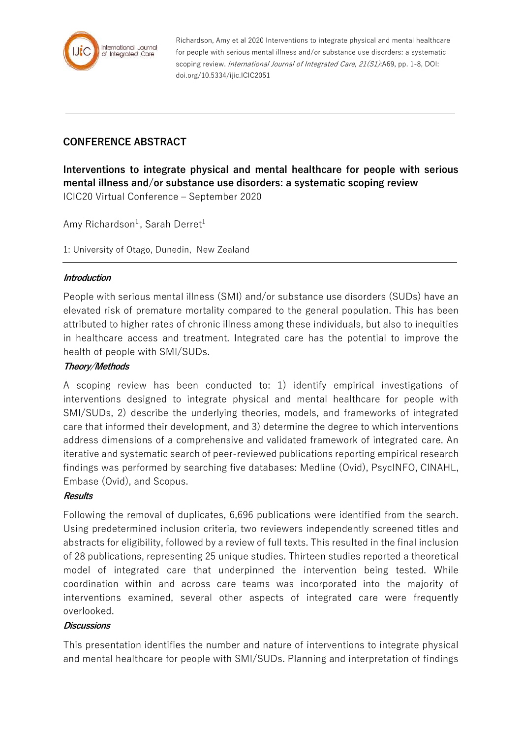

Richardson, Amy et al 2020 Interventions to integrate physical and mental healthcare for people with serious mental illness and/or substance use disorders: a systematic scoping review. *International Journal of Integrated Care, 21(S1)*:A69, pp. 1-8, DOI: doi.org/10.5334/ijic.ICIC2051

# **CONFERENCE ABSTRACT**

**Interventions to integrate physical and mental healthcare for people with serious mental illness and/or substance use disorders: a systematic scoping review** ICIC20 Virtual Conference – September 2020

Amy Richardson<sup>1,</sup>, Sarah Derret<sup>1</sup>

1: University of Otago, Dunedin, New Zealand

### **Introduction**

People with serious mental illness (SMI) and/or substance use disorders (SUDs) have an elevated risk of premature mortality compared to the general population. This has been attributed to higher rates of chronic illness among these individuals, but also to inequities in healthcare access and treatment. Integrated care has the potential to improve the health of people with SMI/SUDs.

#### **Theory/Methods**

A scoping review has been conducted to: 1) identify empirical investigations of interventions designed to integrate physical and mental healthcare for people with SMI/SUDs, 2) describe the underlying theories, models, and frameworks of integrated care that informed their development, and 3) determine the degree to which interventions address dimensions of a comprehensive and validated framework of integrated care. An iterative and systematic search of peer-reviewed publications reporting empirical research findings was performed by searching five databases: Medline (Ovid), PsycINFO, CINAHL, Embase (Ovid), and Scopus.

#### **Results**

Following the removal of duplicates, 6,696 publications were identified from the search. Using predetermined inclusion criteria, two reviewers independently screened titles and abstracts for eligibility, followed by a review of full texts. This resulted in the final inclusion of 28 publications, representing 25 unique studies. Thirteen studies reported a theoretical model of integrated care that underpinned the intervention being tested. While coordination within and across care teams was incorporated into the majority of interventions examined, several other aspects of integrated care were frequently overlooked.

#### **Discussions**

This presentation identifies the number and nature of interventions to integrate physical and mental healthcare for people with SMI/SUDs. Planning and interpretation of findings